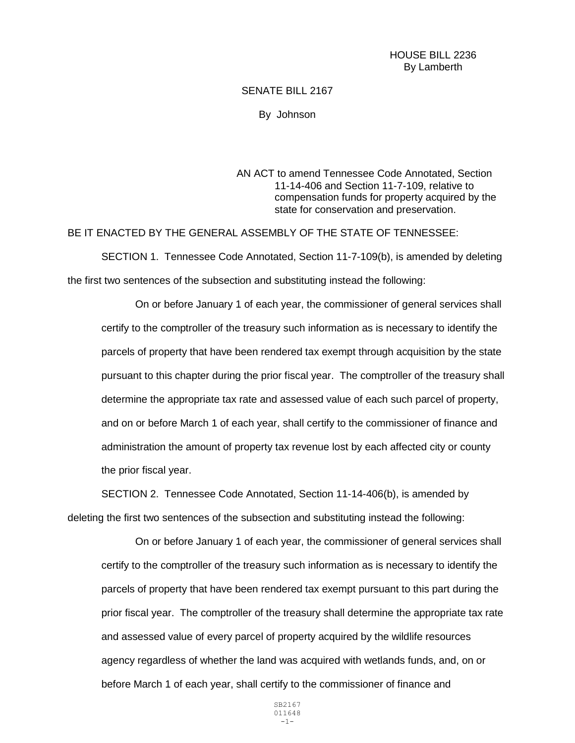## SENATE BILL 2167

By Johnson

AN ACT to amend Tennessee Code Annotated, Section 11-14-406 and Section 11-7-109, relative to compensation funds for property acquired by the state for conservation and preservation.

## BE IT ENACTED BY THE GENERAL ASSEMBLY OF THE STATE OF TENNESSEE:

SECTION 1. Tennessee Code Annotated, Section 11-7-109(b), is amended by deleting the first two sentences of the subsection and substituting instead the following:

On or before January 1 of each year, the commissioner of general services shall certify to the comptroller of the treasury such information as is necessary to identify the parcels of property that have been rendered tax exempt through acquisition by the state pursuant to this chapter during the prior fiscal year. The comptroller of the treasury shall determine the appropriate tax rate and assessed value of each such parcel of property, and on or before March 1 of each year, shall certify to the commissioner of finance and administration the amount of property tax revenue lost by each affected city or county the prior fiscal year.

SECTION 2. Tennessee Code Annotated, Section 11-14-406(b), is amended by deleting the first two sentences of the subsection and substituting instead the following:

On or before January 1 of each year, the commissioner of general services shall certify to the comptroller of the treasury such information as is necessary to identify the parcels of property that have been rendered tax exempt pursuant to this part during the prior fiscal year. The comptroller of the treasury shall determine the appropriate tax rate and assessed value of every parcel of property acquired by the wildlife resources agency regardless of whether the land was acquired with wetlands funds, and, on or before March 1 of each year, shall certify to the commissioner of finance and